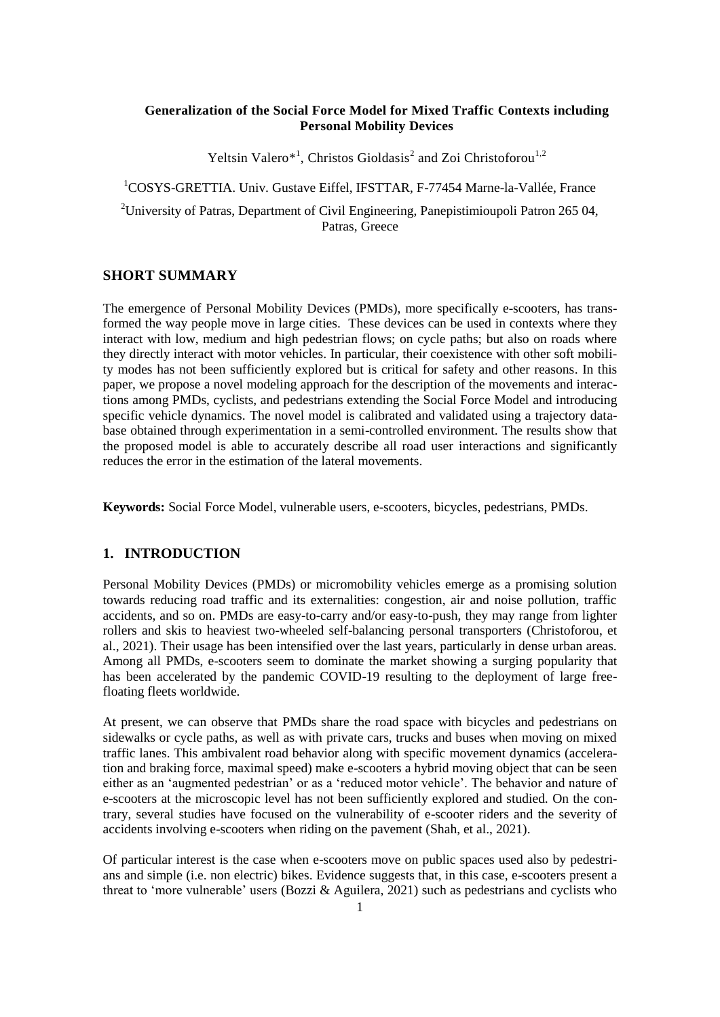## **Generalization of the Social Force Model for Mixed Traffic Contexts including Personal Mobility Devices**

Yeltsin Valero<sup>\*1</sup>, Christos Gioldasis<sup>2</sup> and Zoi Christoforou<sup>1,2</sup>

<sup>1</sup>COSYS-GRETTIA. Univ. Gustave Eiffel, IFSTTAR, F-77454 Marne-la-Vallée, France <sup>2</sup>University of Patras, Department of Civil Engineering, Panepistimioupoli Patron 265 04,

Patras, Greece

# **SHORT SUMMARY**

The emergence of Personal Mobility Devices (PMDs), more specifically e-scooters, has transformed the way people move in large cities. These devices can be used in contexts where they interact with low, medium and high pedestrian flows; on cycle paths; but also on roads where they directly interact with motor vehicles. In particular, their coexistence with other soft mobility modes has not been sufficiently explored but is critical for safety and other reasons. In this paper, we propose a novel modeling approach for the description of the movements and interactions among PMDs, cyclists, and pedestrians extending the Social Force Model and introducing specific vehicle dynamics. The novel model is calibrated and validated using a trajectory database obtained through experimentation in a semi-controlled environment. The results show that the proposed model is able to accurately describe all road user interactions and significantly reduces the error in the estimation of the lateral movements.

**Keywords:** Social Force Model, vulnerable users, e-scooters, bicycles, pedestrians, PMDs.

## **1. INTRODUCTION**

Personal Mobility Devices (PMDs) or micromobility vehicles emerge as a promising solution towards reducing road traffic and its externalities: congestion, air and noise pollution, traffic accidents, and so on. PMDs are easy-to-carry and/or easy-to-push, they may range from lighter rollers and skis to heaviest two-wheeled self-balancing personal transporters (Christoforou, et al., 2021). Their usage has been intensified over the last years, particularly in dense urban areas. Among all PMDs, e-scooters seem to dominate the market showing a surging popularity that has been accelerated by the pandemic COVID-19 resulting to the deployment of large freefloating fleets worldwide.

At present, we can observe that PMDs share the road space with bicycles and pedestrians on sidewalks or cycle paths, as well as with private cars, trucks and buses when moving on mixed traffic lanes. This ambivalent road behavior along with specific movement dynamics (acceleration and braking force, maximal speed) make e-scooters a hybrid moving object that can be seen either as an 'augmented pedestrian' or as a 'reduced motor vehicle'. The behavior and nature of e-scooters at the microscopic level has not been sufficiently explored and studied. On the contrary, several studies have focused on the vulnerability of e-scooter riders and the severity of accidents involving e-scooters when riding on the pavement (Shah, et al., 2021).

Of particular interest is the case when e-scooters move on public spaces used also by pedestrians and simple (i.e. non electric) bikes. Evidence suggests that, in this case, e-scooters present a threat to 'more vulnerable' users (Bozzi & Aguilera, 2021) such as pedestrians and cyclists who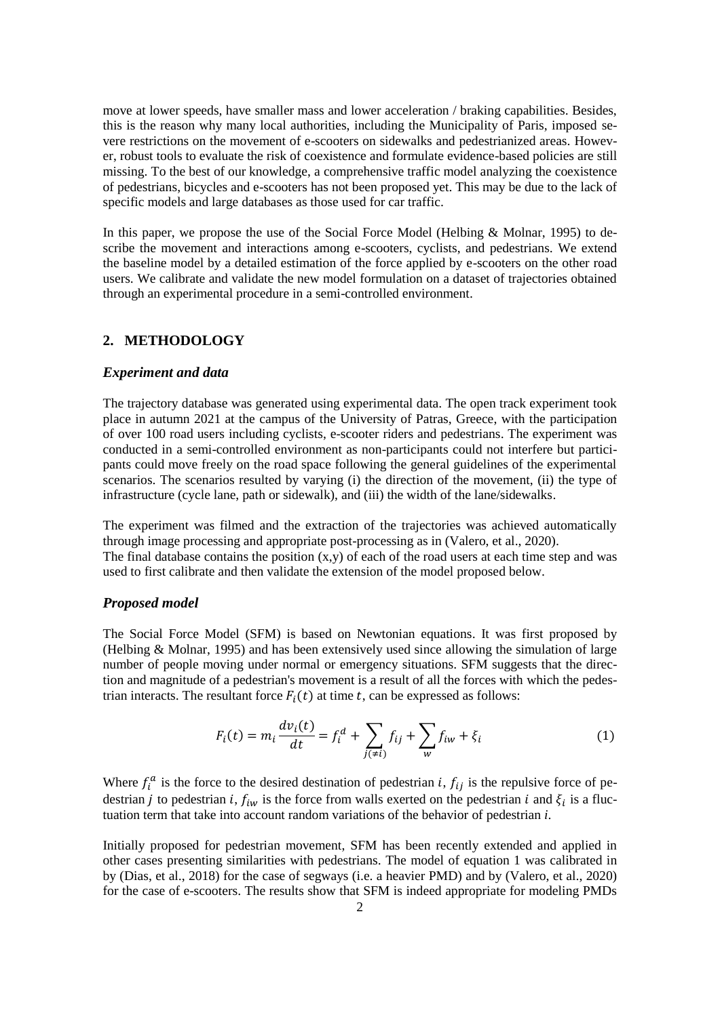move at lower speeds, have smaller mass and lower acceleration / braking capabilities. Besides, this is the reason why many local authorities, including the Municipality of Paris, imposed severe restrictions on the movement of e-scooters on sidewalks and pedestrianized areas. However, robust tools to evaluate the risk of coexistence and formulate evidence-based policies are still missing. To the best of our knowledge, a comprehensive traffic model analyzing the coexistence of pedestrians, bicycles and e-scooters has not been proposed yet. This may be due to the lack of specific models and large databases as those used for car traffic.

In this paper, we propose the use of the Social Force Model (Helbing & Molnar, 1995) to describe the movement and interactions among e-scooters, cyclists, and pedestrians. We extend the baseline model by a detailed estimation of the force applied by e-scooters on the other road users. We calibrate and validate the new model formulation on a dataset of trajectories obtained through an experimental procedure in a semi-controlled environment.

# **2. METHODOLOGY**

#### *Experiment and data*

The trajectory database was generated using experimental data. The open track experiment took place in autumn 2021 at the campus of the University of Patras, Greece, with the participation of over 100 road users including cyclists, e-scooter riders and pedestrians. The experiment was conducted in a semi-controlled environment as non-participants could not interfere but participants could move freely on the road space following the general guidelines of the experimental scenarios. The scenarios resulted by varying (i) the direction of the movement, (ii) the type of infrastructure (cycle lane, path or sidewalk), and (iii) the width of the lane/sidewalks.

The experiment was filmed and the extraction of the trajectories was achieved automatically through image processing and appropriate post-processing as in (Valero, et al., 2020). The final database contains the position  $(x,y)$  of each of the road users at each time step and was used to first calibrate and then validate the extension of the model proposed below.

#### *Proposed model*

The Social Force Model (SFM) is based on Newtonian equations. It was first proposed by (Helbing & Molnar, 1995) and has been extensively used since allowing the simulation of large number of people moving under normal or emergency situations. SFM suggests that the direction and magnitude of a pedestrian's movement is a result of all the forces with which the pedestrian interacts. The resultant force  $F_i(t)$  at time t, can be expressed as follows:

$$
F_i(t) = m_i \frac{dv_i(t)}{dt} = f_i^d + \sum_{j(\neq i)} f_{ij} + \sum_w f_{iw} + \xi_i
$$
 (1)

Where  $f_i^a$  is the force to the desired destination of pedestrian *i*,  $f_{ij}$  is the repulsive force of pedestrian *j* to pedestrian *i*,  $f_{iw}$  is the force from walls exerted on the pedestrian *i* and  $\xi_i$  is a fluctuation term that take into account random variations of the behavior of pedestrian *i*.

Initially proposed for pedestrian movement, SFM has been recently extended and applied in other cases presenting similarities with pedestrians. The model of equation 1 was calibrated in by (Dias, et al., 2018) for the case of segways (i.e. a heavier PMD) and by (Valero, et al., 2020) for the case of e-scooters. The results show that SFM is indeed appropriate for modeling PMDs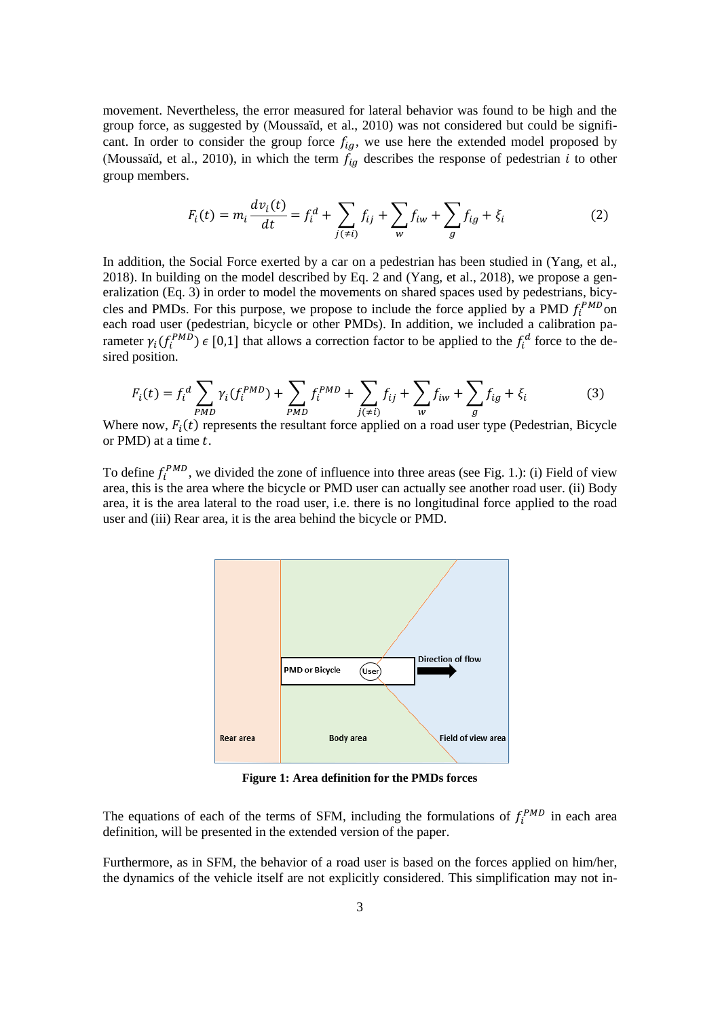movement. Nevertheless, the error measured for lateral behavior was found to be high and the group force, as suggested by (Moussaïd, et al., 2010) was not considered but could be significant. In order to consider the group force  $f_{ig}$ , we use here the extended model proposed by (Moussaïd, et al., 2010), in which the term  $f_{iq}$  describes the response of pedestrian i to other group members.

$$
F_i(t) = m_i \frac{dv_i(t)}{dt} = f_i^d + \sum_{j(\neq i)} f_{ij} + \sum_w f_{iw} + \sum_g f_{ig} + \xi_i
$$
 (2)

In addition, the Social Force exerted by a car on a pedestrian has been studied in (Yang, et al., 2018). In building on the model described by Eq. 2 and (Yang, et al., 2018), we propose a generalization (Eq. 3) in order to model the movements on shared spaces used by pedestrians, bicycles and PMDs. For this purpose, we propose to include the force applied by a PMD  $f_i^{PMD}$ on each road user (pedestrian, bicycle or other PMDs). In addition, we included a calibration parameter  $\gamma_i(f_i^{PMD}) \in [0,1]$  that allows a correction factor to be applied to the  $f_i^d$  force to the desired position.

$$
F_i(t) = f_i^d \sum_{PMD} \gamma_i(f_i^{PMD}) + \sum_{PMD} f_i^{PMD} + \sum_{j(\neq i)} f_{ij} + \sum_w f_{iw} + \sum_g f_{ig} + \xi_i
$$
 (3)

Where now,  $F_i(t)$  represents the resultant force applied on a road user type (Pedestrian, Bicycle or  $PMD$ ) at a time  $t$ .

To define  $f_i^{PMD}$ , we divided the zone of influence into three areas (see Fig. 1.): (i) Field of view area, this is the area where the bicycle or PMD user can actually see another road user. (ii) Body area, it is the area lateral to the road user, i.e. there is no longitudinal force applied to the road user and (iii) Rear area, it is the area behind the bicycle or PMD.



**Figure 1: Area definition for the PMDs forces**

The equations of each of the terms of SFM, including the formulations of  $f_i^{PMD}$  in each area definition, will be presented in the extended version of the paper.

Furthermore, as in SFM, the behavior of a road user is based on the forces applied on him/her, the dynamics of the vehicle itself are not explicitly considered. This simplification may not in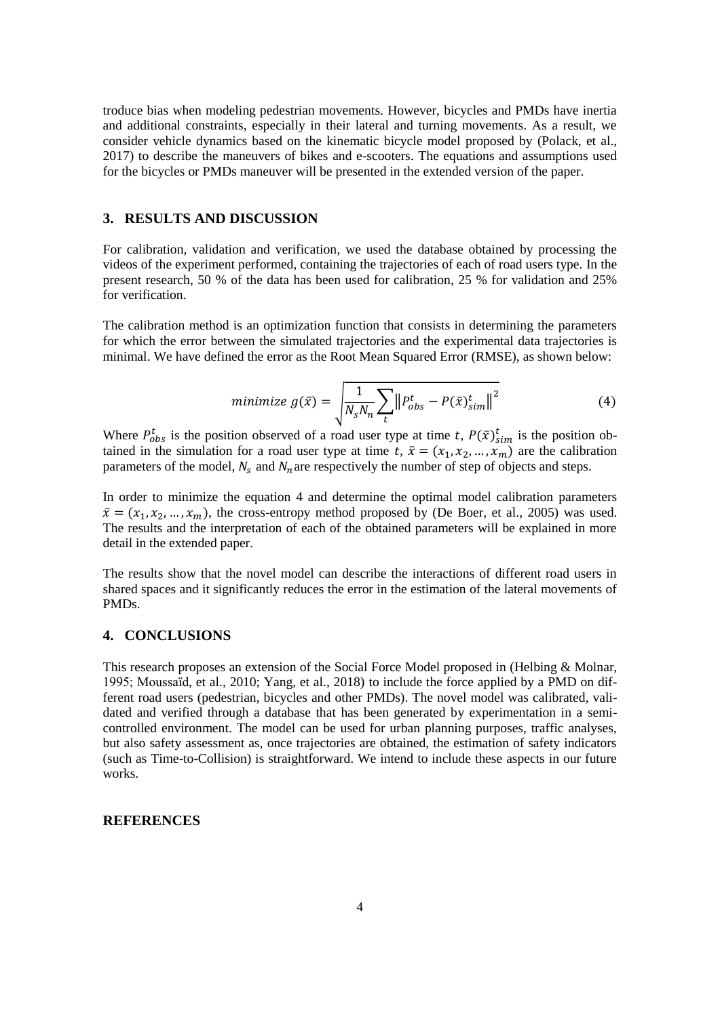troduce bias when modeling pedestrian movements. However, bicycles and PMDs have inertia and additional constraints, especially in their lateral and turning movements. As a result, we consider vehicle dynamics based on the kinematic bicycle model proposed by (Polack, et al., 2017) to describe the maneuvers of bikes and e-scooters. The equations and assumptions used for the bicycles or PMDs maneuver will be presented in the extended version of the paper.

# **3. RESULTS AND DISCUSSION**

For calibration, validation and verification, we used the database obtained by processing the videos of the experiment performed, containing the trajectories of each of road users type. In the present research, 50 % of the data has been used for calibration, 25 % for validation and 25% for verification.

The calibration method is an optimization function that consists in determining the parameters for which the error between the simulated trajectories and the experimental data trajectories is minimal. We have defined the error as the Root Mean Squared Error (RMSE), as shown below:

$$
minimize g(\bar{x}) = \sqrt{\frac{1}{N_s N_n} \sum_{t} ||P_{obs}^t - P(\bar{x})_{sim}^t||^2}
$$
(4)

Where  $P_{obs}^t$  is the position observed of a road user type at time t,  $P(\bar{x})_{sim}^t$  is the position obtained in the simulation for a road user type at time t,  $\bar{x} = (x_1, x_2, ..., x_m)$  are the calibration parameters of the model,  $N_s$  and  $N_n$  are respectively the number of step of objects and steps.

In order to minimize the equation 4 and determine the optimal model calibration parameters  $\bar{x} = (x_1, x_2, ..., x_m)$ , the cross-entropy method proposed by (De Boer, et al., 2005) was used. The results and the interpretation of each of the obtained parameters will be explained in more detail in the extended paper.

The results show that the novel model can describe the interactions of different road users in shared spaces and it significantly reduces the error in the estimation of the lateral movements of PMDs.

## **4. CONCLUSIONS**

This research proposes an extension of the Social Force Model proposed in (Helbing & Molnar, 1995; Moussaïd, et al., 2010; Yang, et al., 2018) to include the force applied by a PMD on different road users (pedestrian, bicycles and other PMDs). The novel model was calibrated, validated and verified through a database that has been generated by experimentation in a semicontrolled environment. The model can be used for urban planning purposes, traffic analyses, but also safety assessment as, once trajectories are obtained, the estimation of safety indicators (such as Time-to-Collision) is straightforward. We intend to include these aspects in our future works.

#### **REFERENCES**